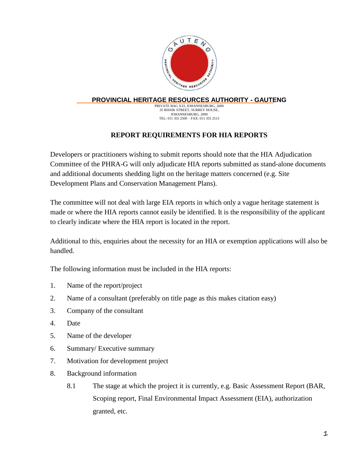

## **PROVINCIAL HERITAGE RESOURCES AUTHORITY - GAUTENG**

PRIVATE BAG X33, JOHANNESBURG, 2000 35 RISSIK STREET, SURREY HOUSE, JOHANNESBURG, 2000 TEL: 011 355 2500 – FAX: 011 355 2513

## **REPORT REQUIREMENTS FOR HIA REPORTS**

Developers or practitioners wishing to submit reports should note that the HIA Adjudication Committee of the PHRA-G will only adjudicate HIA reports submitted as stand-alone documents and additional documents shedding light on the heritage matters concerned (e.g. Site Development Plans and Conservation Management Plans).

The committee will not deal with large EIA reports in which only a vague heritage statement is made or where the HIA reports cannot easily be identified. It is the responsibility of the applicant to clearly indicate where the HIA report is located in the report.

Additional to this, enquiries about the necessity for an HIA or exemption applications will also be handled.

The following information must be included in the HIA reports:

- 1. Name of the report/project
- 2. Name of a consultant (preferably on title page as this makes citation easy)
- 3. Company of the consultant
- 4. Date
- 5. Name of the developer
- 6. Summary/ Executive summary
- 7. Motivation for development project
- 8. Background information
	- 8.1 The stage at which the project it is currently, e.g. Basic Assessment Report (BAR, Scoping report, Final Environmental Impact Assessment (EIA), authorization granted, etc.